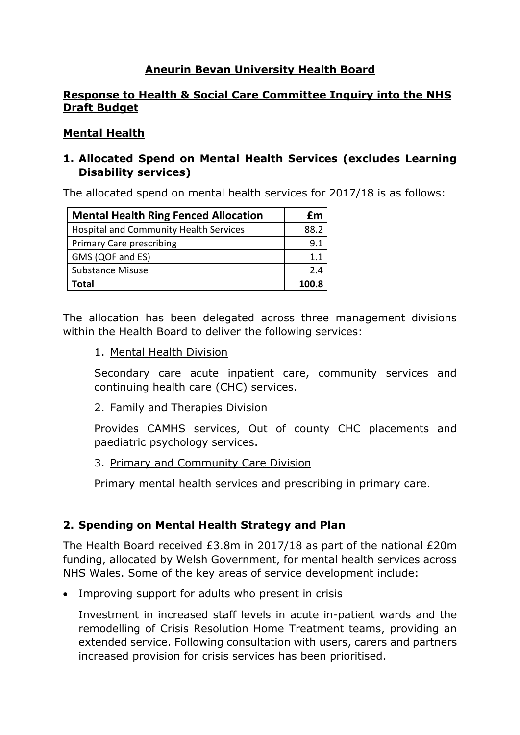## **Aneurin Bevan University Health Board**

#### **Response to Health & Social Care Committee Inquiry into the NHS Draft Budget**

#### **Mental Health**

### **1. Allocated Spend on Mental Health Services (excludes Learning Disability services)**

The allocated spend on mental health services for 2017/18 is as follows:

| <b>Mental Health Ring Fenced Allocation</b>   | £m    |
|-----------------------------------------------|-------|
| <b>Hospital and Community Health Services</b> | 88.2  |
| <b>Primary Care prescribing</b>               | 9.1   |
| GMS (QOF and ES)                              | 1.1   |
| <b>Substance Misuse</b>                       | 24    |
| Total                                         | 100.8 |

The allocation has been delegated across three management divisions within the Health Board to deliver the following services:

1. Mental Health Division

Secondary care acute inpatient care, community services and continuing health care (CHC) services.

2. Family and Therapies Division

Provides CAMHS services, Out of county CHC placements and paediatric psychology services.

3. Primary and Community Care Division

Primary mental health services and prescribing in primary care.

## **2. Spending on Mental Health Strategy and Plan**

The Health Board received £3.8m in 2017/18 as part of the national £20m funding, allocated by Welsh Government, for mental health services across NHS Wales. Some of the key areas of service development include:

• Improving support for adults who present in crisis

Investment in increased staff levels in acute in-patient wards and the remodelling of Crisis Resolution Home Treatment teams, providing an extended service. Following consultation with users, carers and partners increased provision for crisis services has been prioritised.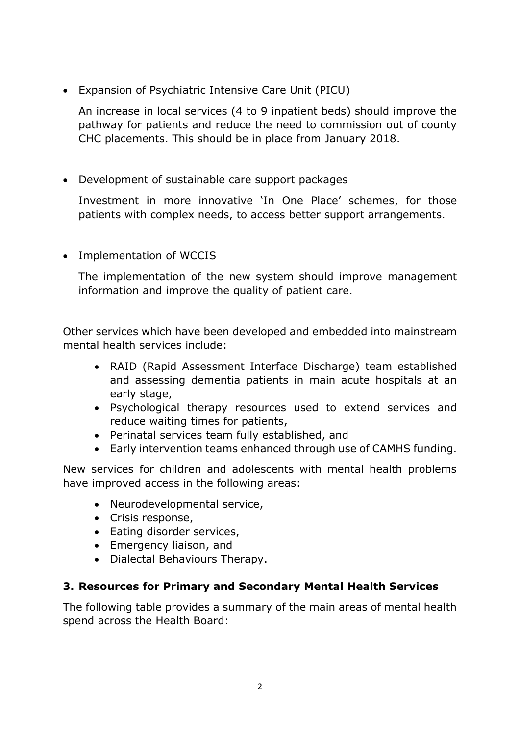Expansion of Psychiatric Intensive Care Unit (PICU)

An increase in local services (4 to 9 inpatient beds) should improve the pathway for patients and reduce the need to commission out of county CHC placements. This should be in place from January 2018.

Development of sustainable care support packages

Investment in more innovative 'In One Place' schemes, for those patients with complex needs, to access better support arrangements.

• Implementation of WCCIS

The implementation of the new system should improve management information and improve the quality of patient care.

Other services which have been developed and embedded into mainstream mental health services include:

- RAID (Rapid Assessment Interface Discharge) team established and assessing dementia patients in main acute hospitals at an early stage,
- Psychological therapy resources used to extend services and reduce waiting times for patients,
- Perinatal services team fully established, and
- Early intervention teams enhanced through use of CAMHS funding.

New services for children and adolescents with mental health problems have improved access in the following areas:

- Neurodevelopmental service,
- Crisis response,
- Eating disorder services,
- Emergency liaison, and
- Dialectal Behaviours Therapy.

# **3. Resources for Primary and Secondary Mental Health Services**

The following table provides a summary of the main areas of mental health spend across the Health Board: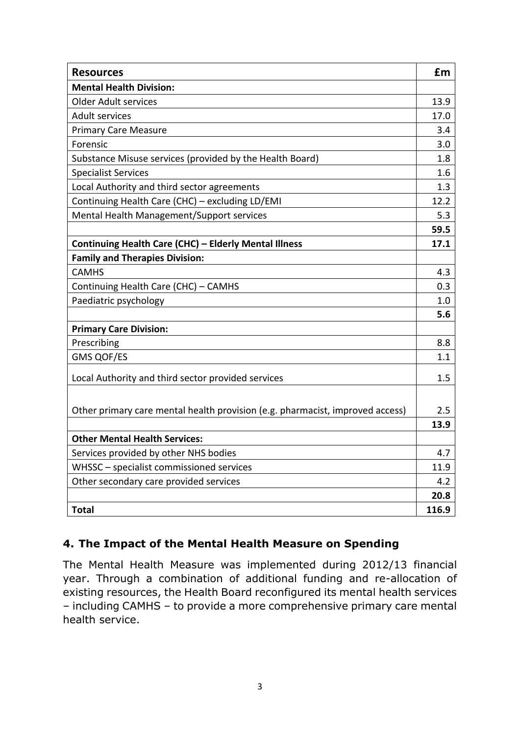| <b>Resources</b>                                                              | £m    |
|-------------------------------------------------------------------------------|-------|
| <b>Mental Health Division:</b>                                                |       |
| <b>Older Adult services</b>                                                   | 13.9  |
| <b>Adult services</b>                                                         | 17.0  |
| <b>Primary Care Measure</b>                                                   | 3.4   |
| Forensic                                                                      | 3.0   |
| Substance Misuse services (provided by the Health Board)                      | 1.8   |
| <b>Specialist Services</b>                                                    | 1.6   |
| Local Authority and third sector agreements                                   | 1.3   |
| Continuing Health Care (CHC) - excluding LD/EMI                               | 12.2  |
| Mental Health Management/Support services                                     | 5.3   |
|                                                                               | 59.5  |
| Continuing Health Care (CHC) - Elderly Mental Illness                         | 17.1  |
| <b>Family and Therapies Division:</b>                                         |       |
| <b>CAMHS</b>                                                                  | 4.3   |
| Continuing Health Care (CHC) - CAMHS                                          | 0.3   |
| Paediatric psychology                                                         | 1.0   |
|                                                                               | 5.6   |
| <b>Primary Care Division:</b>                                                 |       |
| Prescribing                                                                   | 8.8   |
| <b>GMS QOF/ES</b>                                                             | 1.1   |
| Local Authority and third sector provided services                            | 1.5   |
|                                                                               |       |
| Other primary care mental health provision (e.g. pharmacist, improved access) | 2.5   |
|                                                                               | 13.9  |
| <b>Other Mental Health Services:</b>                                          |       |
| Services provided by other NHS bodies                                         | 4.7   |
| WHSSC - specialist commissioned services                                      | 11.9  |
| Other secondary care provided services                                        | 4.2   |
|                                                                               | 20.8  |
| <b>Total</b>                                                                  | 116.9 |

# **4. The Impact of the Mental Health Measure on Spending**

The Mental Health Measure was implemented during 2012/13 financial year. Through a combination of additional funding and re-allocation of existing resources, the Health Board reconfigured its mental health services – including CAMHS – to provide a more comprehensive primary care mental health service.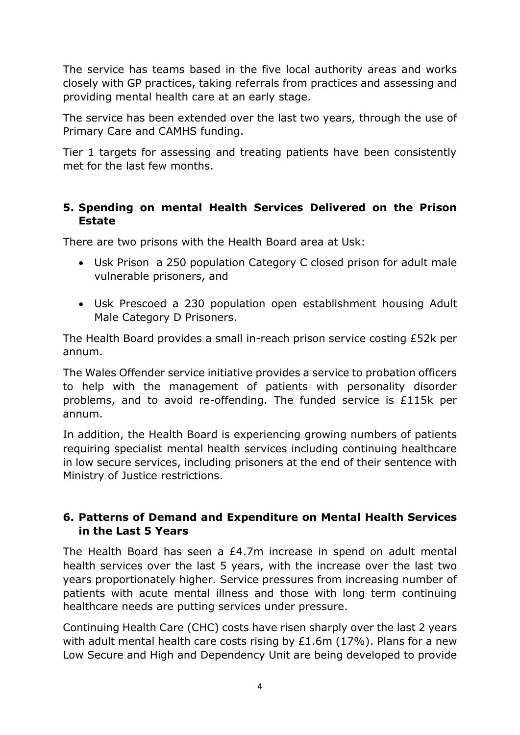The service has teams based in the five local authority areas and works closely with GP practices, taking referrals from practices and assessing and providing mental health care at an early stage.

The service has been extended over the last two years, through the use of Primary Care and CAMHS funding.

Tier 1 targets for assessing and treating patients have been consistently met for the last few months.

# **5. Spending on mental Health Services Delivered on the Prison Estate**

There are two prisons with the Health Board area at Usk:

- Usk Prison a 250 population Category C closed prison for adult male vulnerable prisoners, and
- Usk Prescoed a 230 population open establishment housing Adult Male Category D Prisoners.

The Health Board provides a small in-reach prison service costing £52k per annum.

The Wales Offender service initiative provides a service to probation officers to help with the management of patients with personality disorder problems, and to avoid re-offending. The funded service is £115k per annum.

In addition, the Health Board is experiencing growing numbers of patients requiring specialist mental health services including continuing healthcare in low secure services, including prisoners at the end of their sentence with Ministry of Justice restrictions.

# **6. Patterns of Demand and Expenditure on Mental Health Services in the Last 5 Years**

The Health Board has seen a £4.7m increase in spend on adult mental health services over the last 5 years, with the increase over the last two years proportionately higher. Service pressures from increasing number of patients with acute mental illness and those with long term continuing healthcare needs are putting services under pressure.

Continuing Health Care (CHC) costs have risen sharply over the last 2 years with adult mental health care costs rising by  $£1.6m(17%)$ . Plans for a new Low Secure and High and Dependency Unit are being developed to provide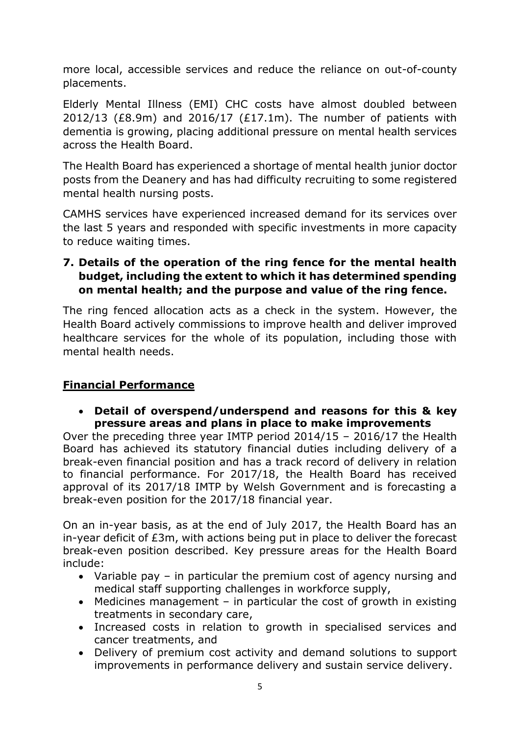more local, accessible services and reduce the reliance on out-of-county placements.

Elderly Mental Illness (EMI) CHC costs have almost doubled between 2012/13 (£8.9m) and 2016/17 (£17.1m). The number of patients with dementia is growing, placing additional pressure on mental health services across the Health Board.

The Health Board has experienced a shortage of mental health junior doctor posts from the Deanery and has had difficulty recruiting to some registered mental health nursing posts.

CAMHS services have experienced increased demand for its services over the last 5 years and responded with specific investments in more capacity to reduce waiting times.

# **7. Details of the operation of the ring fence for the mental health budget, including the extent to which it has determined spending on mental health; and the purpose and value of the ring fence.**

The ring fenced allocation acts as a check in the system. However, the Health Board actively commissions to improve health and deliver improved healthcare services for the whole of its population, including those with mental health needs.

# **Financial Performance**

 **Detail of overspend/underspend and reasons for this & key pressure areas and plans in place to make improvements**

Over the preceding three year IMTP period 2014/15 – 2016/17 the Health Board has achieved its statutory financial duties including delivery of a break-even financial position and has a track record of delivery in relation to financial performance. For 2017/18, the Health Board has received approval of its 2017/18 IMTP by Welsh Government and is forecasting a break-even position for the 2017/18 financial year.

On an in-year basis, as at the end of July 2017, the Health Board has an in-year deficit of £3m, with actions being put in place to deliver the forecast break-even position described. Key pressure areas for the Health Board include:

- Variable pay in particular the premium cost of agency nursing and medical staff supporting challenges in workforce supply,
- $\bullet$  Medicines management in particular the cost of growth in existing treatments in secondary care,
- Increased costs in relation to growth in specialised services and cancer treatments, and
- Delivery of premium cost activity and demand solutions to support improvements in performance delivery and sustain service delivery.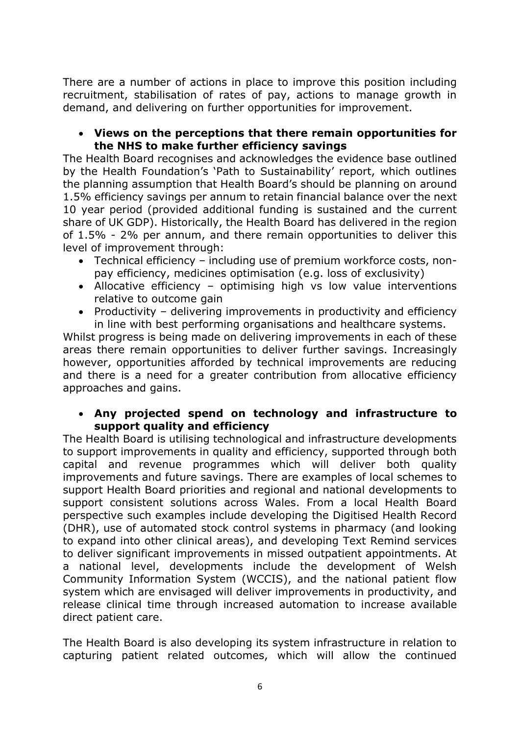There are a number of actions in place to improve this position including recruitment, stabilisation of rates of pay, actions to manage growth in demand, and delivering on further opportunities for improvement.

#### **Views on the perceptions that there remain opportunities for the NHS to make further efficiency savings**

The Health Board recognises and acknowledges the evidence base outlined by the Health Foundation's 'Path to Sustainability' report, which outlines the planning assumption that Health Board's should be planning on around 1.5% efficiency savings per annum to retain financial balance over the next 10 year period (provided additional funding is sustained and the current share of UK GDP). Historically, the Health Board has delivered in the region of 1.5% - 2% per annum, and there remain opportunities to deliver this level of improvement through:

- Technical efficiency including use of premium workforce costs, nonpay efficiency, medicines optimisation (e.g. loss of exclusivity)
- Allocative efficiency optimising high vs low value interventions relative to outcome gain
- Productivity delivering improvements in productivity and efficiency in line with best performing organisations and healthcare systems.

Whilst progress is being made on delivering improvements in each of these areas there remain opportunities to deliver further savings. Increasingly however, opportunities afforded by technical improvements are reducing and there is a need for a greater contribution from allocative efficiency approaches and gains.

#### **Any projected spend on technology and infrastructure to support quality and efficiency**

The Health Board is utilising technological and infrastructure developments to support improvements in quality and efficiency, supported through both capital and revenue programmes which will deliver both quality improvements and future savings. There are examples of local schemes to support Health Board priorities and regional and national developments to support consistent solutions across Wales. From a local Health Board perspective such examples include developing the Digitised Health Record (DHR), use of automated stock control systems in pharmacy (and looking to expand into other clinical areas), and developing Text Remind services to deliver significant improvements in missed outpatient appointments. At a national level, developments include the development of Welsh Community Information System (WCCIS), and the national patient flow system which are envisaged will deliver improvements in productivity, and release clinical time through increased automation to increase available direct patient care.

The Health Board is also developing its system infrastructure in relation to capturing patient related outcomes, which will allow the continued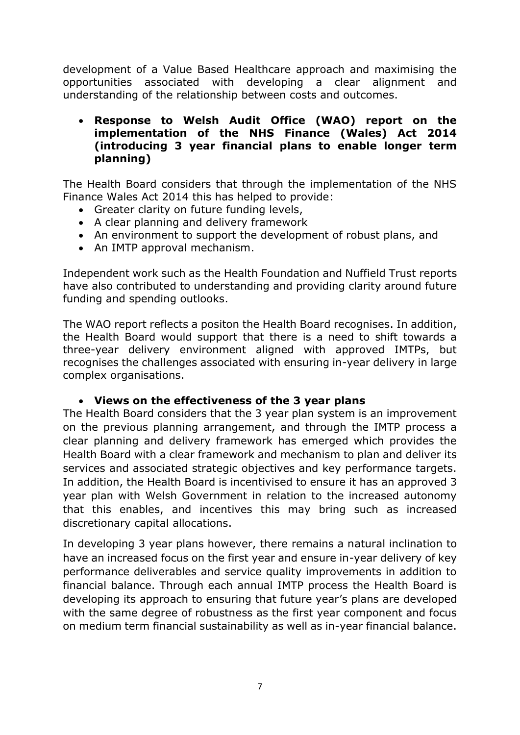development of a Value Based Healthcare approach and maximising the opportunities associated with developing a clear alignment and understanding of the relationship between costs and outcomes.

#### **Response to Welsh Audit Office (WAO) report on the implementation of the NHS Finance (Wales) Act 2014 (introducing 3 year financial plans to enable longer term planning)**

The Health Board considers that through the implementation of the NHS Finance Wales Act 2014 this has helped to provide:

- Greater clarity on future funding levels,
- A clear planning and delivery framework
- An environment to support the development of robust plans, and
- An IMTP approval mechanism.

Independent work such as the Health Foundation and Nuffield Trust reports have also contributed to understanding and providing clarity around future funding and spending outlooks.

The WAO report reflects a positon the Health Board recognises. In addition, the Health Board would support that there is a need to shift towards a three-year delivery environment aligned with approved IMTPs, but recognises the challenges associated with ensuring in-year delivery in large complex organisations.

#### **Views on the effectiveness of the 3 year plans**

The Health Board considers that the 3 year plan system is an improvement on the previous planning arrangement, and through the IMTP process a clear planning and delivery framework has emerged which provides the Health Board with a clear framework and mechanism to plan and deliver its services and associated strategic objectives and key performance targets. In addition, the Health Board is incentivised to ensure it has an approved 3 year plan with Welsh Government in relation to the increased autonomy that this enables, and incentives this may bring such as increased discretionary capital allocations.

In developing 3 year plans however, there remains a natural inclination to have an increased focus on the first year and ensure in-year delivery of key performance deliverables and service quality improvements in addition to financial balance. Through each annual IMTP process the Health Board is developing its approach to ensuring that future year's plans are developed with the same degree of robustness as the first year component and focus on medium term financial sustainability as well as in-year financial balance.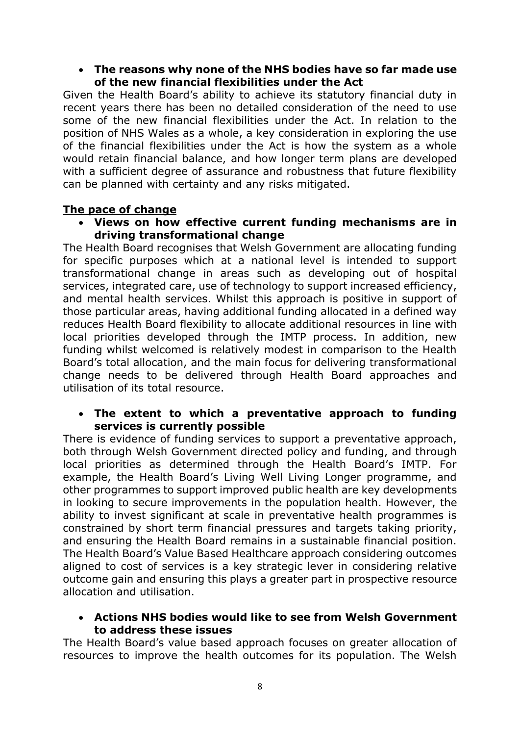#### **The reasons why none of the NHS bodies have so far made use of the new financial flexibilities under the Act**

Given the Health Board's ability to achieve its statutory financial duty in recent years there has been no detailed consideration of the need to use some of the new financial flexibilities under the Act. In relation to the position of NHS Wales as a whole, a key consideration in exploring the use of the financial flexibilities under the Act is how the system as a whole would retain financial balance, and how longer term plans are developed with a sufficient degree of assurance and robustness that future flexibility can be planned with certainty and any risks mitigated.

## **The pace of change**

 **Views on how effective current funding mechanisms are in driving transformational change**

The Health Board recognises that Welsh Government are allocating funding for specific purposes which at a national level is intended to support transformational change in areas such as developing out of hospital services, integrated care, use of technology to support increased efficiency, and mental health services. Whilst this approach is positive in support of those particular areas, having additional funding allocated in a defined way reduces Health Board flexibility to allocate additional resources in line with local priorities developed through the IMTP process. In addition, new funding whilst welcomed is relatively modest in comparison to the Health Board's total allocation, and the main focus for delivering transformational change needs to be delivered through Health Board approaches and utilisation of its total resource.

#### **The extent to which a preventative approach to funding services is currently possible**

There is evidence of funding services to support a preventative approach, both through Welsh Government directed policy and funding, and through local priorities as determined through the Health Board's IMTP. For example, the Health Board's Living Well Living Longer programme, and other programmes to support improved public health are key developments in looking to secure improvements in the population health. However, the ability to invest significant at scale in preventative health programmes is constrained by short term financial pressures and targets taking priority, and ensuring the Health Board remains in a sustainable financial position. The Health Board's Value Based Healthcare approach considering outcomes aligned to cost of services is a key strategic lever in considering relative outcome gain and ensuring this plays a greater part in prospective resource allocation and utilisation.

#### **Actions NHS bodies would like to see from Welsh Government to address these issues**

The Health Board's value based approach focuses on greater allocation of resources to improve the health outcomes for its population. The Welsh